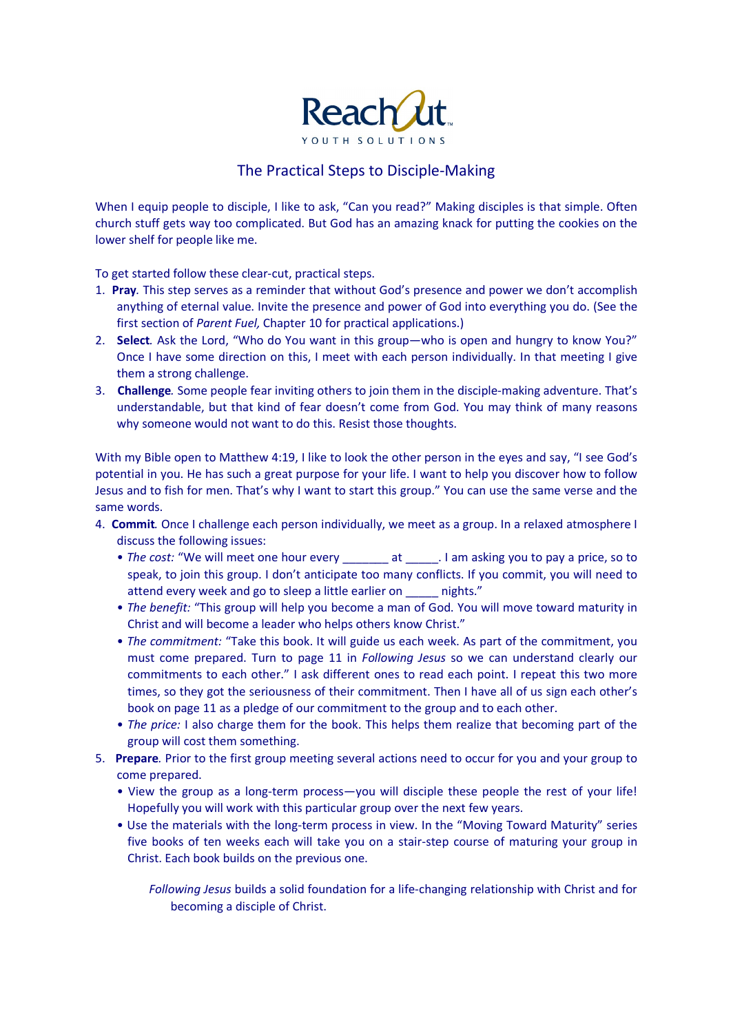

## The Practical Steps to Disciple-Making

When I equip people to disciple, I like to ask, "Can you read?" Making disciples is that simple. Often church stuff gets way too complicated. But God has an amazing knack for putting the cookies on the lower shelf for people like me.

To get started follow these clear-cut, practical steps.

- 1. **Pray***.* This step serves as a reminder that without God's presence and power we don't accomplish anything of eternal value. Invite the presence and power of God into everything you do. (See the first section of *Parent Fuel,* Chapter 10 for practical applications.)
- 2. **Select***.* Ask the Lord, "Who do You want in this group—who is open and hungry to know You?" Once I have some direction on this, I meet with each person individually. In that meeting I give them a strong challenge.
- 3. **Challenge***.* Some people fear inviting others to join them in the disciple-making adventure. That's understandable, but that kind of fear doesn't come from God. You may think of many reasons why someone would not want to do this. Resist those thoughts.

With my Bible open to Matthew 4:19, I like to look the other person in the eyes and say, "I see God's potential in you. He has such a great purpose for your life. I want to help you discover how to follow Jesus and to fish for men. That's why I want to start this group." You can use the same verse and the same words.

- 4. **Commit***.* Once I challenge each person individually, we meet as a group. In a relaxed atmosphere I discuss the following issues:
	- *The cost:* "We will meet one hour every \_\_\_\_\_\_\_ at \_\_\_\_\_. I am asking you to pay a price, so to speak, to join this group. I don't anticipate too many conflicts. If you commit, you will need to attend every week and go to sleep a little earlier on \_\_\_\_\_ nights."
	- *The benefit:* "This group will help you become a man of God. You will move toward maturity in Christ and will become a leader who helps others know Christ."
	- *The commitment:* "Take this book. It will guide us each week. As part of the commitment, you must come prepared. Turn to page 11 in *Following Jesus* so we can understand clearly our commitments to each other." I ask different ones to read each point. I repeat this two more times, so they got the seriousness of their commitment. Then I have all of us sign each other's book on page 11 as a pledge of our commitment to the group and to each other.
	- *The price:* I also charge them for the book. This helps them realize that becoming part of the group will cost them something.
- 5. **Prepare***.* Prior to the first group meeting several actions need to occur for you and your group to come prepared.
	- View the group as a long-term process—you will disciple these people the rest of your life! Hopefully you will work with this particular group over the next few years.
	- Use the materials with the long-term process in view. In the "Moving Toward Maturity" series five books of ten weeks each will take you on a stair-step course of maturing your group in Christ. Each book builds on the previous one.

*Following Jesus* builds a solid foundation for a life-changing relationship with Christ and for becoming a disciple of Christ.